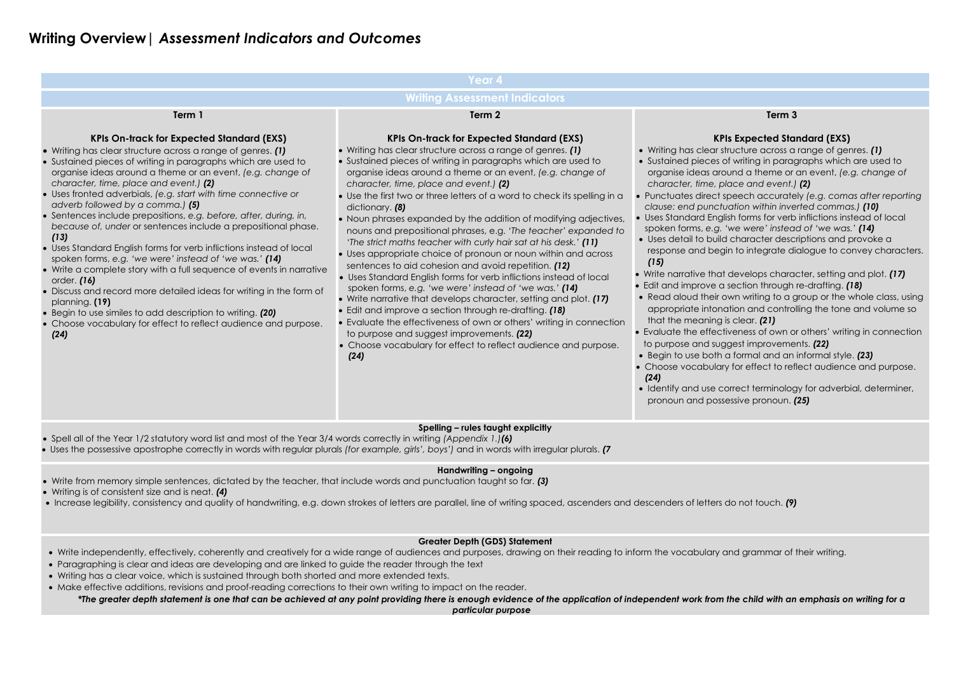# **Writing Overview|** *Assessment Indicators and Outcomes*

|                                                                                                                                                                                                                                                                                                                                                                                                                                                                                                                                                                                                                                                                                                                                                                                                                                                                                                                                                                                                        | Year 4                                                                                                                                                                                                                                                                                                                                                                                                                                                                                                                                                                                                                                                                                                                                                                                                                                                                                                                                                                                                                                                                                                                                                                                        |                                                                                                                                                                                                                                                                                                                                                                                                                                                                                               |  |  |  |
|--------------------------------------------------------------------------------------------------------------------------------------------------------------------------------------------------------------------------------------------------------------------------------------------------------------------------------------------------------------------------------------------------------------------------------------------------------------------------------------------------------------------------------------------------------------------------------------------------------------------------------------------------------------------------------------------------------------------------------------------------------------------------------------------------------------------------------------------------------------------------------------------------------------------------------------------------------------------------------------------------------|-----------------------------------------------------------------------------------------------------------------------------------------------------------------------------------------------------------------------------------------------------------------------------------------------------------------------------------------------------------------------------------------------------------------------------------------------------------------------------------------------------------------------------------------------------------------------------------------------------------------------------------------------------------------------------------------------------------------------------------------------------------------------------------------------------------------------------------------------------------------------------------------------------------------------------------------------------------------------------------------------------------------------------------------------------------------------------------------------------------------------------------------------------------------------------------------------|-----------------------------------------------------------------------------------------------------------------------------------------------------------------------------------------------------------------------------------------------------------------------------------------------------------------------------------------------------------------------------------------------------------------------------------------------------------------------------------------------|--|--|--|
| <b>Writing Assessment Indicators</b>                                                                                                                                                                                                                                                                                                                                                                                                                                                                                                                                                                                                                                                                                                                                                                                                                                                                                                                                                                   |                                                                                                                                                                                                                                                                                                                                                                                                                                                                                                                                                                                                                                                                                                                                                                                                                                                                                                                                                                                                                                                                                                                                                                                               |                                                                                                                                                                                                                                                                                                                                                                                                                                                                                               |  |  |  |
| Term 1                                                                                                                                                                                                                                                                                                                                                                                                                                                                                                                                                                                                                                                                                                                                                                                                                                                                                                                                                                                                 | Term <sub>2</sub>                                                                                                                                                                                                                                                                                                                                                                                                                                                                                                                                                                                                                                                                                                                                                                                                                                                                                                                                                                                                                                                                                                                                                                             |                                                                                                                                                                                                                                                                                                                                                                                                                                                                                               |  |  |  |
| <b>KPIs On-track for Expected Standard (EXS)</b><br>• Writing has clear structure across a range of genres. (1)<br>• Sustained pieces of writing in paragraphs which are used to<br>organise ideas around a theme or an event, (e.g. change of<br>character, time, place and event.) (2)<br>• Uses fronted adverbials, (e.g. start with time connective or<br>adverb followed by a comma.) (5)<br>• Sentences include prepositions, e.g. before, after, during, in,<br>because of, under or sentences include a prepositional phase.<br>(13)<br>• Uses Standard English forms for verb inflictions instead of local<br>spoken forms, e.g. 'we were' instead of 'we was.' (14)<br>• Write a complete story with a full sequence of events in narrative<br>order. (16)<br>• Discuss and record more detailed ideas for writing in the form of<br>planning. (19)<br>• Begin to use similes to add description to writing. (20)<br>• Choose vocabulary for effect to reflect audience and purpose.<br>(24) | <b>KPIs On-track for Expected Standard (EXS)</b><br>• Writing has clear structure across a range of genres. (1)<br>• Sustained pieces of writing in paragraphs which are used to<br>organise ideas around a theme or an event, (e.g. change of<br>character, time, place and event.) (2)<br>• Use the first two or three letters of a word to check its spelling in a<br>dictionary. (8)<br>• Noun phrases expanded by the addition of modifying adjectives,<br>nouns and prepositional phrases, e.g. 'The teacher' expanded to<br>'The strict maths teacher with curly hair sat at his desk.' (11)<br>• Uses appropriate choice of pronoun or noun within and across<br>sentences to aid cohesion and avoid repetition. (12)<br>• Uses Standard English forms for verb inflictions instead of local<br>spoken forms, e.g. 'we were' instead of 'we was.' (14)<br>• Write narrative that develops character, setting and plot. (17)<br>• Edit and improve a section through re-drafting. (18)<br>• Evaluate the effectiveness of own or others' writing in connection<br>to purpose and suggest improvements. (22)<br>• Choose vocabulary for effect to reflect audience and purpose.<br>(24) | K<br>• Writing has clear<br>• Sustained pieces<br>organise ideas ar<br>character, time,<br>• Punctuates direct<br>clause: end punc<br>• Uses Standard Eng<br>spoken forms, e.g.<br>· Uses detail to buil<br>response and be<br>(15)<br>• Write narrative tho<br>• Edit and improve<br>• Read aloud their<br>appropriate intor<br>that the meaning<br>• Evaluate the effed<br>to purpose and su<br>• Begin to use both<br>• Choose vocabulc<br>(24)<br>· Identify and use a<br>pronoun and pos |  |  |  |
|                                                                                                                                                                                                                                                                                                                                                                                                                                                                                                                                                                                                                                                                                                                                                                                                                                                                                                                                                                                                        | Spelling - rules taught explicitly                                                                                                                                                                                                                                                                                                                                                                                                                                                                                                                                                                                                                                                                                                                                                                                                                                                                                                                                                                                                                                                                                                                                                            |                                                                                                                                                                                                                                                                                                                                                                                                                                                                                               |  |  |  |

### **Term 3**

# **KPIs Expected Standard (EXS)**

structure across a range of genres. *(1)* of writing in paragraphs which are used to ound a theme or an event, *(e.g. change of character, time, place and event.) (2)* speech accurately *(e.g. comas after reporting clause: end punctuation within inverted commas.) (10)* ulish forms for verb inflictions instead of local 'we were' instead of 'we was.' *(14)* d character descriptions and provoke a gin to integrate dialogue to convey characters.

It develops character, setting and plot. *(17)* a section through re-drafting. *(18)* 

own writing to a group or the whole class, using ation and controlling the tone and volume so  $t$  is clear.  $(21)$ 

tiveness of own or others' writing in connection ggest improvements. **(22)** 

- Write independently, effectively, coherently and creatively for a wide range of audiences and purposes, drawing on their reading to inform the vocabulary and grammar of their writing.
- Paragraphing is clear and ideas are developing and are linked to guide the reader through the text
- Writing has a clear voice, which is sustained through both shorted and more extended texts.
- Make effective additions, revisions and proof-reading corrections to their own writing to impact on the reader.

Begin to use both a formal and an informal style. *(23)*

Iry for effect to reflect audience and purpose.

correct terminology for adverbial, determiner, sessive pronoun. **(25)** 

- Spell all of the Year 1/2 statutory word list and most of the Year 3/4 words correctly in writing *(Appendix 1.)(6)*
- Uses the possessive apostrophe correctly in words with regular plurals *(for example, girls', boys')* and in words with irregular plurals. *(7*

# **Handwriting – ongoing**

- Write from memory simple sentences, dictated by the teacher, that include words and punctuation taught so far. *(3)*
- Writing is of consistent size and is neat. *(4)*
- Increase legibility, consistency and quality of handwriting, e.g. down strokes of letters are parallel, line of writing spaced, ascenders and descenders of letters do not touch. *(9)*

# **Greater Depth (GDS) Statement**

*\*The greater depth statement is one that can be achieved at any point providing there is enough evidence of the application of independent work from the child with an emphasis on writing for a particular purpose*